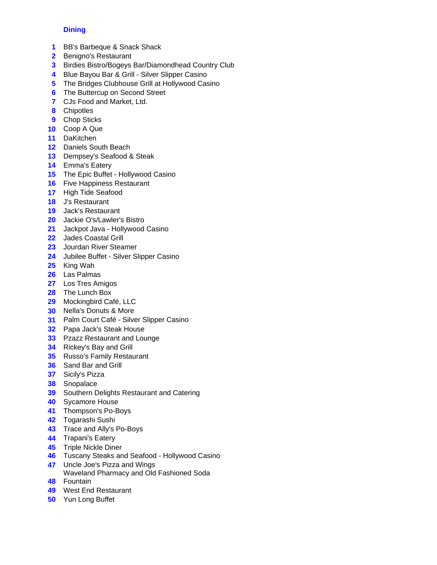## **Dining**

- BB's Barbeque & Snack Shack
- Benigno's Restaurant
- Birdies Bistro/Bogeys Bar/Diamondhead Country Club
- Blue Bayou Bar & Grill Silver Slipper Casino
- The Bridges Clubhouse Grill at Hollywood Casino
- The Buttercup on Second Street
- CJs Food and Market, Ltd.
- Chipotles
- Chop Sticks
- Coop A Que
- DaKitchen
- Daniels South Beach
- Dempsey's Seafood & Steak
- Emma's Eatery
- The Epic Buffet Hollywood Casino
- Five Happiness Restaurant
- High Tide Seafood
- J's Restaurant
- Jack's Restaurant
- Jackie O's/Lawler's Bistro
- Jackpot Java Hollywood Casino
- Jades Coastal Grill
- Jourdan River Steamer
- Jubilee Buffet Silver Slipper Casino
- King Wah
- Las Palmas
- Los Tres Amigos
- The Lunch Box
- Mockingbird Café, LLC
- Nella's Donuts & More
- Palm Court Café Silver Slipper Casino
- Papa Jack's Steak House
- Pzazz Restaurant and Lounge
- Rickey's Bay and Grill
- Russo's Family Restaurant
- Sand Bar and Grill
- Sicily's Pizza
- Snopalace
- Southern Delights Restaurant and Catering
- Sycamore House
- Thompson's Po-Boys
- Togarashi Sushi
- Trace and Ally's Po-Boys
- Trapani's Eatery
- Triple Nickle Diner
- Tuscany Steaks and Seafood Hollywood Casino
- Uncle Joe's Pizza and Wings
- Fountain Waveland Pharmacy and Old Fashioned Soda
- West End Restaurant
- Yun Long Buffet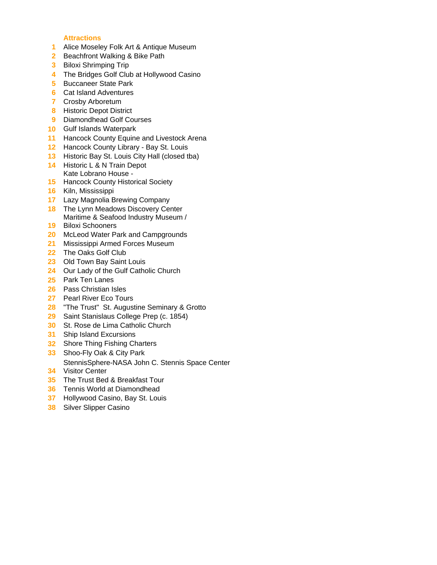## **Attractions**

- Alice Moseley Folk Art & Antique Museum
- Beachfront Walking & Bike Path
- Biloxi Shrimping Trip
- The Bridges Golf Club at Hollywood Casino
- Buccaneer State Park
- Cat Island Adventures
- Crosby Arboretum
- Historic Depot District
- Diamondhead Golf Courses
- Gulf Islands Waterpark
- Hancock County Equine and Livestock Arena
- Hancock County Library Bay St. Louis
- Historic Bay St. Louis City Hall (closed tba)
- Historic L & N Train Depot Kate Lobrano House -
- Hancock County Historical Society
- Kiln, Mississippi
- Lazy Magnolia Brewing Company
- The Lynn Meadows Discovery Center Maritime & Seafood Industry Museum /
- Biloxi Schooners
- McLeod Water Park and Campgrounds
- Mississippi Armed Forces Museum
- The Oaks Golf Club
- Old Town Bay Saint Louis
- Our Lady of the Gulf Catholic Church
- Park Ten Lanes
- Pass Christian Isles
- Pearl River Eco Tours
- "The Trust" St. Augustine Seminary & Grotto
- Saint Stanislaus College Prep (c. 1854)
- St. Rose de Lima Catholic Church
- Ship Island Excursions
- Shore Thing Fishing Charters
- Shoo-Fly Oak & City Park
- StennisSphere-NASA John C. Stennis Space Center
- Visitor Center
- The Trust Bed & Breakfast Tour
- Tennis World at Diamondhead
- Hollywood Casino, Bay St. Louis
- Silver Slipper Casino